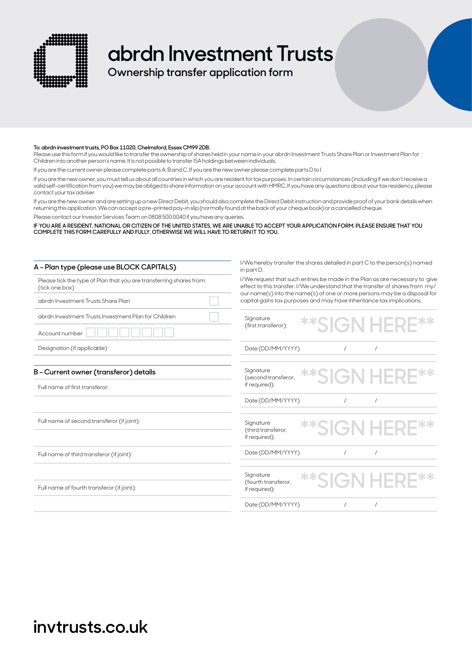

# **abrdn Investment Trusts**

**Ownership transfer application form**

#### **To: abrdn investment trusts, PO Box 11020, Chelmsford, Essex CM99 2DB.**

Please use this form if you would like to transfer the ownership of shares held in your name in your abrdn Investment Trusts Share Plan or Investment Plan for Children into another person's name. It is not possible to transfer ISA holdings between individuals.

If you are the current owner please complete parts A, B and C. If you are the new owner please complete parts D to I.

If you are the new owner, you must tell us about all countries in which you are resident for tax purposes. In certain circumstances (including if we don't receive a valid self-certification from you) we may be obliged to share information on your account with HMRC. If you have any questions about your tax residency, please contact your tax adviser.

If you are the new owner and are setting up a new Direct Debit, you should also complete the Direct Debit instruction and provide proof of your bank details when returning this application. We can accept a pre-printed pay-in slip (normally found at the back of your cheque book) or a cancelled cheque.

Please contact our Investor Services Team on 0808 500 0040 if you have any queries.

**IF YOU ARE A RESIDENT, NATIONAL OR CITIZEN OF THE UNITED STATES, WE ARE UNABLE TO ACCEPT YOUR APPLICATION FORM. PLEASE ENSURE THAT YOU COMPLETE THIS FORM CAREFULLY AND FULLY, OTHERWISE WE WILL HAVE TO RETURN IT TO YOU.**

| A - Plan type (please use BLOCK CAPITALS)                                             | I/We hereby transfer the shares detailed in part C to the person(s) named<br>in part D.                                                                                                                                                   |  |  |
|---------------------------------------------------------------------------------------|-------------------------------------------------------------------------------------------------------------------------------------------------------------------------------------------------------------------------------------------|--|--|
| Please tick the type of Plan that you are transferring shares from:<br>(tick one box) | I/We request that such entries be made in the Plan as are necessary to give<br>effect to this transfer. I/We understand that the transfer of shares from my/<br>our name(s) into the name(s) of one or more persons may be a disposal for |  |  |
| abrdn Investment Trusts Share Plan                                                    | capital gains tax purposes and may have inheritance tax implications.                                                                                                                                                                     |  |  |
| abrdn Investment Trusts Investment Plan for Children                                  | Signature<br><b>**SIGN HERE**</b>                                                                                                                                                                                                         |  |  |
| Account number                                                                        | (first transferor):                                                                                                                                                                                                                       |  |  |
| Designation (if applicable)                                                           | Date (DD/MM/YYYY)<br>$\prime$<br>$\prime$                                                                                                                                                                                                 |  |  |
| B - Current owner (transferor) details<br>Full name of first transferor:              | Signature<br><b>**SIGN HERE**</b><br>(second transferor,<br>if required):                                                                                                                                                                 |  |  |
|                                                                                       | Date (DD/MM/YYYY)<br>$\prime$<br>$\sqrt{2}$                                                                                                                                                                                               |  |  |
| Full name of second transferor (if joint):                                            | Signature<br>**SIGN HERE**<br>(third transferor,<br>if required):                                                                                                                                                                         |  |  |
| Full name of third transferor (if joint):                                             | Date (DD/MM/YYYY)                                                                                                                                                                                                                         |  |  |
| Full name of fourth transferor (if joint):                                            | Signature<br><b>**SIGN HERE**</b><br>(fourth transferor,<br>if required):                                                                                                                                                                 |  |  |
|                                                                                       | Date (DD/MM/YYYY)                                                                                                                                                                                                                         |  |  |

## **invtrusts.co.uk**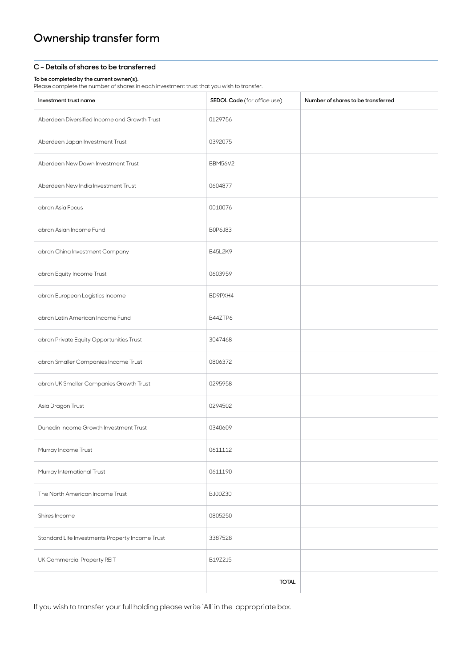### **C – Details of shares to be transferred**

#### **To be completed by the current owner(s).**

Please complete the number of shares in each investment trust that you wish to transfer.

| Investment trust name                           | SEDOL Code (for office use) | Number of shares to be transferred |
|-------------------------------------------------|-----------------------------|------------------------------------|
| Aberdeen Diversified Income and Growth Trust    | 0129756                     |                                    |
| Aberdeen Japan Investment Trust                 | 0392075                     |                                    |
| Aberdeen New Dawn Investment Trust              | BBM56V2                     |                                    |
| Aberdeen New India Investment Trust             | 0604877                     |                                    |
| abrdn Asia Focus                                | 0010076                     |                                    |
| abrdn Asian Income Fund                         | B0P6J83                     |                                    |
| abrdn China Investment Company                  | B45L2K9                     |                                    |
| abrdn Equity Income Trust                       | 0603959                     |                                    |
| abrdn European Logistics Income                 | BD9PXH4                     |                                    |
| abrdn Latin American Income Fund                | B44ZTP6                     |                                    |
| abrdn Private Equity Opportunities Trust        | 3047468                     |                                    |
| abrdn Smaller Companies Income Trust            | 0806372                     |                                    |
| abrdn UK Smaller Companies Growth Trust         | 0295958                     |                                    |
| Asia Dragon Trust                               | 0294502                     |                                    |
| Dunedin Income Growth Investment Trust          | 0340609                     |                                    |
| Murray Income Trust                             | 0611112                     |                                    |
| Murray International Trust                      | 0611190                     |                                    |
| The North American Income Trust                 | BJ00Z30                     |                                    |
| Shires Income                                   | 0805250                     |                                    |
| Standard Life Investments Property Income Trust | 3387528                     |                                    |
| UK Commercial Property REIT                     | B19Z2J5                     |                                    |
|                                                 | <b>TOTAL</b>                |                                    |

If you wish to transfer your full holding please write 'All' in the appropriate box.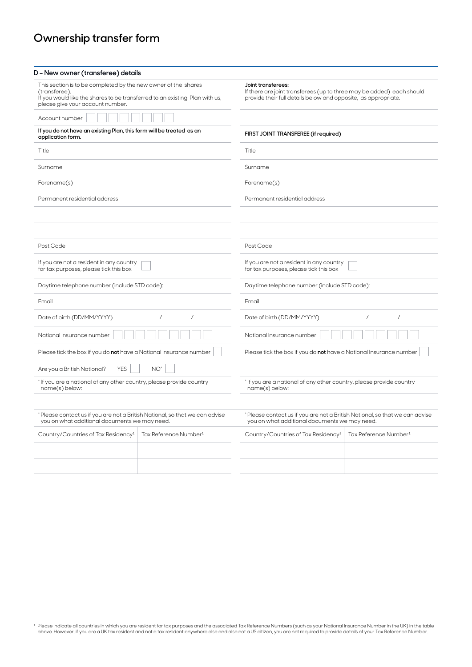| D - New owner (transferee) details                                                                                                                                                                 |                                                                                                                                                               |                                                                                                                              |                                   |  |
|----------------------------------------------------------------------------------------------------------------------------------------------------------------------------------------------------|---------------------------------------------------------------------------------------------------------------------------------------------------------------|------------------------------------------------------------------------------------------------------------------------------|-----------------------------------|--|
| This section is to be completed by the new owner of the shares<br>(transferee).<br>If you would like the shares to be transferred to an existing Plan with us,<br>please give your account number. | Joint transferees:<br>If there are joint transferees (up to three may be added) each should<br>provide their full details below and opposite, as appropriate. |                                                                                                                              |                                   |  |
| Account number                                                                                                                                                                                     |                                                                                                                                                               |                                                                                                                              |                                   |  |
| If you do not have an existing Plan, this form will be treated as an<br>application form.                                                                                                          |                                                                                                                                                               | FIRST JOINT TRANSFEREE (if required)                                                                                         |                                   |  |
| Title                                                                                                                                                                                              |                                                                                                                                                               | Title                                                                                                                        |                                   |  |
| Surname                                                                                                                                                                                            |                                                                                                                                                               | Surname                                                                                                                      |                                   |  |
| Forename(s)                                                                                                                                                                                        |                                                                                                                                                               | Forename(s)                                                                                                                  |                                   |  |
| Permanent residential address                                                                                                                                                                      |                                                                                                                                                               | Permanent residential address                                                                                                |                                   |  |
|                                                                                                                                                                                                    |                                                                                                                                                               |                                                                                                                              |                                   |  |
|                                                                                                                                                                                                    |                                                                                                                                                               |                                                                                                                              |                                   |  |
| Post Code                                                                                                                                                                                          |                                                                                                                                                               | Post Code                                                                                                                    |                                   |  |
| If you are not a resident in any country<br>for tax purposes, please tick this box                                                                                                                 |                                                                                                                                                               | If you are not a resident in any country<br>for tax purposes, please tick this box                                           |                                   |  |
| Daytime telephone number (include STD code):                                                                                                                                                       |                                                                                                                                                               | Daytime telephone number (include STD code):                                                                                 |                                   |  |
| Email                                                                                                                                                                                              |                                                                                                                                                               | Email                                                                                                                        |                                   |  |
| Date of birth (DD/MM/YYYY)                                                                                                                                                                         | $\prime$<br>$\prime$                                                                                                                                          | Date of birth (DD/MM/YYYY)                                                                                                   | $\overline{1}$<br>$\prime$        |  |
| National Insurance number                                                                                                                                                                          |                                                                                                                                                               | National Insurance number                                                                                                    |                                   |  |
| Please tick the box if you do not have a National Insurance number                                                                                                                                 |                                                                                                                                                               | Please tick the box if you do not have a National Insurance number                                                           |                                   |  |
| <b>YES</b><br>Are you a British National?                                                                                                                                                          | NO <sup>*</sup>                                                                                                                                               |                                                                                                                              |                                   |  |
| * If you are a national of any other country, please provide country<br>name(s) below:                                                                                                             |                                                                                                                                                               | * If you are a national of any other country, please provide country<br>name(s) below:                                       |                                   |  |
|                                                                                                                                                                                                    |                                                                                                                                                               |                                                                                                                              |                                   |  |
| * Please contact us if you are not a British National, so that we can advise<br>you on what additional documents we may need.                                                                      |                                                                                                                                                               | *Please contact us if you are not a British National, so that we can advise<br>you on what additional documents we may need. |                                   |  |
| Country/Countries of Tax Residency <sup>1</sup>                                                                                                                                                    | Tax Reference Number <sup>1</sup>                                                                                                                             | Country/Countries of Tax Residency <sup>1</sup>                                                                              | Tax Reference Number <sup>1</sup> |  |
|                                                                                                                                                                                                    |                                                                                                                                                               |                                                                                                                              |                                   |  |
|                                                                                                                                                                                                    |                                                                                                                                                               |                                                                                                                              |                                   |  |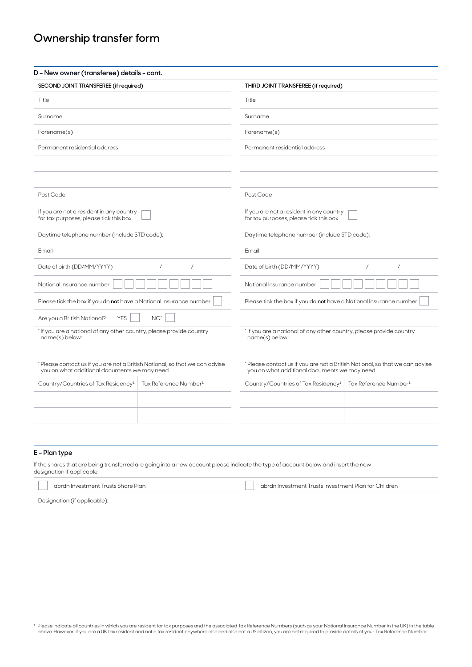| SECOND JOINT TRANSFEREE (if required)                                                                                        |                                   | THIRD JOINT TRANSFEREE (if required)                                                                                        |                                   |  |
|------------------------------------------------------------------------------------------------------------------------------|-----------------------------------|-----------------------------------------------------------------------------------------------------------------------------|-----------------------------------|--|
| Title                                                                                                                        |                                   | Title                                                                                                                       |                                   |  |
|                                                                                                                              |                                   |                                                                                                                             |                                   |  |
| Surname                                                                                                                      |                                   | Surname                                                                                                                     |                                   |  |
| Forename(s)                                                                                                                  |                                   | Forename(s)                                                                                                                 |                                   |  |
| Permanent residential address                                                                                                |                                   | Permanent residential address                                                                                               |                                   |  |
|                                                                                                                              |                                   |                                                                                                                             |                                   |  |
| Post Code                                                                                                                    |                                   | Post Code                                                                                                                   |                                   |  |
| If you are not a resident in any country<br>for tax purposes, please tick this box                                           |                                   | If you are not a resident in any country<br>for tax purposes, please tick this box                                          |                                   |  |
| Daytime telephone number (include STD code):                                                                                 |                                   | Daytime telephone number (include STD code):                                                                                |                                   |  |
| Email                                                                                                                        |                                   | Email                                                                                                                       |                                   |  |
| Date of birth (DD/MM/YYYY)                                                                                                   | $\prime$<br>$\prime$              | $\overline{1}$<br>Date of birth (DD/MM/YYYY)<br>$\prime$                                                                    |                                   |  |
| National Insurance number                                                                                                    |                                   | National Insurance number                                                                                                   |                                   |  |
| Please tick the box if you do not have a National Insurance number                                                           |                                   | Please tick the box if you do not have a National Insurance number                                                          |                                   |  |
| <b>YES</b><br>Are you a British National?                                                                                    | NO <sup>*</sup>                   |                                                                                                                             |                                   |  |
| * If you are a national of any other country, please provide country<br>name(s) below:                                       |                                   | * If you are a national of any other country, please provide country<br>name(s) below:                                      |                                   |  |
|                                                                                                                              |                                   |                                                                                                                             |                                   |  |
| *Please contact us if you are not a British National, so that we can advise<br>you on what additional documents we may need. |                                   | Please contact us if you are not a British National, so that we can advise<br>you on what additional documents we may need. |                                   |  |
| Country/Countries of Tax Residency <sup>1</sup>                                                                              | Tax Reference Number <sup>1</sup> | Country/Countries of Tax Residency <sup>1</sup>                                                                             | Tax Reference Number <sup>1</sup> |  |
|                                                                                                                              |                                   |                                                                                                                             |                                   |  |
|                                                                                                                              |                                   |                                                                                                                             |                                   |  |
|                                                                                                                              |                                   |                                                                                                                             |                                   |  |

### **E – Plan type**

If the shares that are being transferred are going into a new account please indicate the type of account below and insert the new designation if applicable.

| - abrdn Investment Trusts Share Plan | abrdn Investment Trusts Investment Plan for Children |
|--------------------------------------|------------------------------------------------------|
|                                      |                                                      |

Designation (if applicable):

f Please indicate all countries in which you are resident for tax purposes and the associated Tax Reference Numbers (such as your National Insurance Number in the UK) in the table (UK) in the table (UK) in the table (UK) i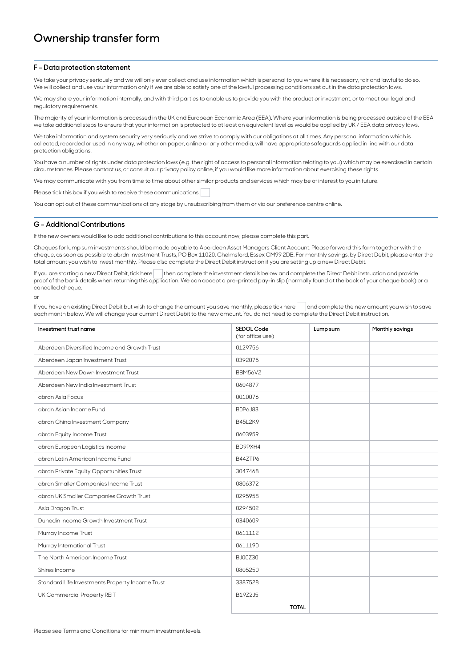### **F – Data protection statement**

We take your privacy seriously and we will only ever collect and use information which is personal to you where it is necessary, fair and lawful to do so. We will collect and use your information only if we are able to satisfy one of the lawful processing conditions set out in the data protection laws.

We may share your information internally, and with third parties to enable us to provide you with the product or investment, or to meet our legal and regulatory requirements.

The majority of your information is processed in the UK and European Economic Area (EEA). Where your information is being processed outside of the EEA, we take additional steps to ensure that your information is protected to at least an equivalent level as would be applied by UK / EEA data privacy laws.

We take information and system security very seriously and we strive to comply with our obligations at all times. Any personal information which is collected, recorded or used in any way, whether on paper, online or any other media, will have appropriate safeguards applied in line with our data protection obligations.

You have a number of rights under data protection laws (e.g. the right of access to personal information relating to you) which may be exercised in certain circumstances. Please contact us, or consult our privacy policy online, if you would like more information about exercising these rights.

We may communicate with you from time to time about other similar products and services which may be of interest to you in future.

Please tick this box if you wish to receive these communications.

You can opt out of these communications at any stage by unsubscribing from them or via our preference centre online.

### **G – Additional Contributions**

If the new owners would like to add additional contributions to this account now, please complete this part.

Cheques for lump sum investments should be made payable to Aberdeen Asset Managers Client Account. Please forward this form together with the cheque, as soon as possible to abrdn Investment Trusts, PO Box 11020, Chelmsford, Essex CM99 2DB. For monthly savings, by Direct Debit, please enter the total amount you wish to invest monthly. Please also complete the Direct Debit instruction if you are setting up a new Direct Debit.

If you are starting a new Direct Debit, tick here then complete the investment details below and complete the Direct Debit instruction and provide proof of the bank details when returning this application. We can accept a pre-printed pay-in slip (normally found at the back of your cheque book) or a cancelled cheque.

or

If you have an existing Direct Debit but wish to change the amount you save monthly, please tick here and complete the new amount you wish to save each month below. We will change your current Direct Debit to the new amount. You do not need to complete the Direct Debit instruction.

| Investment trust name                           | SEDOL Code<br>(for office use) | Lump sum | Monthly savings |
|-------------------------------------------------|--------------------------------|----------|-----------------|
| Aberdeen Diversified Income and Growth Trust    | 0129756                        |          |                 |
| Aberdeen Japan Investment Trust                 | 0392075                        |          |                 |
| Aberdeen New Dawn Investment Trust              | <b>BBM56V2</b>                 |          |                 |
| Aberdeen New India Investment Trust             | 0604877                        |          |                 |
| abrdn Asia Focus                                | 0010076                        |          |                 |
| abrdn Asian Income Fund                         | B0P6J83                        |          |                 |
| abrdn China Investment Company                  | B45L2K9                        |          |                 |
| abrdn Equity Income Trust                       | 0603959                        |          |                 |
| abrdn European Logistics Income                 | BD9PXH4                        |          |                 |
| abrdn Latin American Income Fund                | <b>B447TP6</b>                 |          |                 |
| abrdn Private Equity Opportunities Trust        | 3047468                        |          |                 |
| abrdn Smaller Companies Income Trust            | 0806372                        |          |                 |
| abrdn UK Smaller Companies Growth Trust         | 0295958                        |          |                 |
| Asia Dragon Trust                               | 0294502                        |          |                 |
| Dunedin Income Growth Investment Trust          | 0340609                        |          |                 |
| Murray Income Trust                             | 0611112                        |          |                 |
| Murray International Trust                      | 0611190                        |          |                 |
| The North American Income Trust                 | BJ00Z30                        |          |                 |
| Shires Income                                   | 0805250                        |          |                 |
| Standard Life Investments Property Income Trust | 3387528                        |          |                 |
| UK Commercial Property REIT                     | B19Z2J5                        |          |                 |
|                                                 | <b>TOTAL</b>                   |          |                 |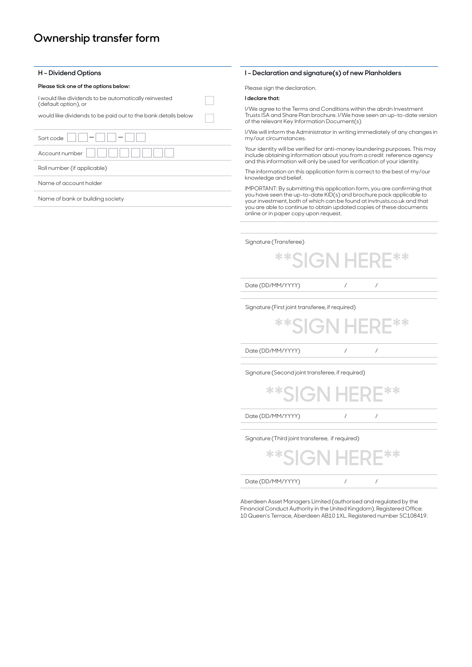### **Please tick one of the options below:** Please sign the declaration.

I would like dividends to be automatically reinvested (default option), or

would like dividends to be paid out to the bank details below

| Sort code                   |
|-----------------------------|
| Account number              |
| Roll number (if applicable) |
| Name of account holder      |
|                             |

Name of bank or building society

### **H – Dividend Options I – Declaration and signature(s) of new Planholders**

### **I declare that:**

I/We agree to the Terms and Conditions within the abrdn Investment Trusts ISA and Share Plan brochure. I/We have seen an up-to-date version of the relevant Key Information Document(s)

I/We will inform the Administrator in writing immediately of any changes in my/our circumstances.

Your identity will be verified for anti-money laundering purposes. This may include obtaining information about you from a credit reference agency and this information will only be used for verification of your identity.

The information on this application form is correct to the best of my/our knowledge and belief.

IMPORTANT: By submitting this application form, you are confirming that you have seen the up-to-date KID(s) and brochure pack applicable to your investment, both of which can be found at invtrusts.co.uk and that you are able to continue to obtain updated copies of these documents online or in paper copy upon request.

Signature (Transferee)

**\*\*SIGN HERE\*\***

Date (DD/MM/YYYY) / / / /

Signature (First joint transferee, if required)

Date (DD/MM/YYYY) / / / / **\*\*SIGN HERE\*\***

Signature (Second joint transferee, if required)

| یا کا ک<br>GN     | مله مله ا |  |
|-------------------|-----------|--|
| Date (DD/MM/YYYY) |           |  |
|                   |           |  |

Signature (Third joint transferee, if required)

Date (DD/MM/YYYY) / / / / **\*\*SIGN HERE\*\***

Aberdeen Asset Managers Limited (authorised and regulated by the Financial Conduct Authority in the United Kingdom). Registered Office: 10 Queen's Terrace, Aberdeen AB10 1XL. Registered number SC108419.